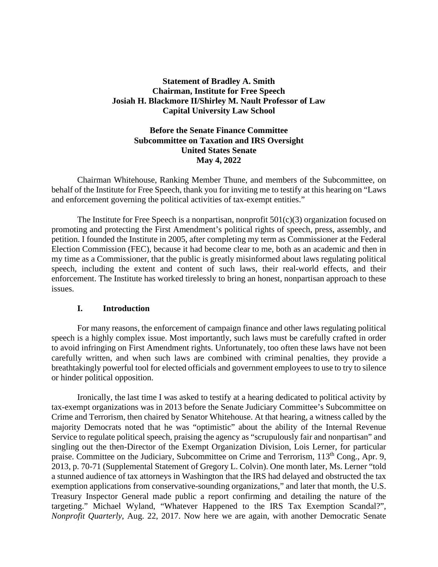## **Statement of Bradley A. Smith Chairman, Institute for Free Speech Josiah H. Blackmore II/Shirley M. Nault Professor of Law Capital University Law School**

# **Before the Senate Finance Committee Subcommittee on Taxation and IRS Oversight United States Senate May 4, 2022**

Chairman Whitehouse, Ranking Member Thune, and members of the Subcommittee, on behalf of the Institute for Free Speech, thank you for inviting me to testify at this hearing on "Laws and enforcement governing the political activities of tax-exempt entities."

The Institute for Free Speech is a nonpartisan, nonprofit  $501(c)(3)$  organization focused on promoting and protecting the First Amendment's political rights of speech, press, assembly, and petition. I founded the Institute in 2005, after completing my term as Commissioner at the Federal Election Commission (FEC), because it had become clear to me, both as an academic and then in my time as a Commissioner, that the public is greatly misinformed about laws regulating political speech, including the extent and content of such laws, their real-world effects, and their enforcement. The Institute has worked tirelessly to bring an honest, nonpartisan approach to these issues.

## **I. Introduction**

For many reasons, the enforcement of campaign finance and other laws regulating political speech is a highly complex issue. Most importantly, such laws must be carefully crafted in order to avoid infringing on First Amendment rights. Unfortunately, too often these laws have not been carefully written, and when such laws are combined with criminal penalties, they provide a breathtakingly powerful tool for elected officials and government employees to use to try to silence or hinder political opposition.

Ironically, the last time I was asked to testify at a hearing dedicated to political activity by tax-exempt organizations was in 2013 before the Senate Judiciary Committee's Subcommittee on Crime and Terrorism, then chaired by Senator Whitehouse. At that hearing, a witness called by the majority Democrats noted that he was "optimistic" about the ability of the Internal Revenue Service to regulate political speech, praising the agency as "scrupulously fair and nonpartisan" and singling out the then-Director of the Exempt Organization Division, Lois Lerner, for particular praise. Committee on the Judiciary, Subcommittee on Crime and Terrorism, 113<sup>th</sup> Cong., Apr. 9, 2013, p. 70-71 (Supplemental Statement of Gregory L. Colvin). One month later, Ms. Lerner "told a stunned audience of tax attorneys in Washington that the IRS had delayed and obstructed the tax exemption applications from conservative-sounding organizations," and later that month, the U.S. Treasury Inspector General made public a report confirming and detailing the nature of the targeting." Michael Wyland, "Whatever Happened to the IRS Tax Exemption Scandal?"*, Nonprofit Quarterly*, Aug. 22, 2017. Now here we are again, with another Democratic Senate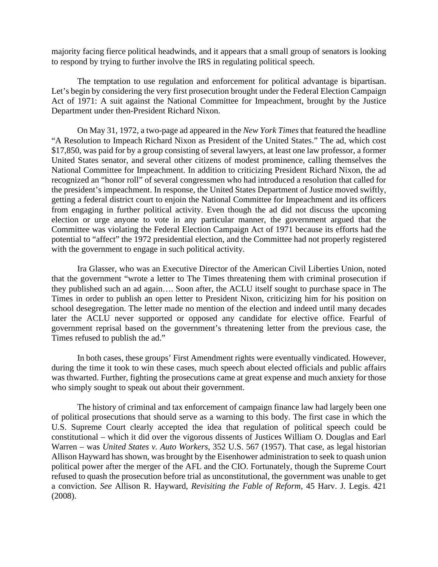majority facing fierce political headwinds, and it appears that a small group of senators is looking to respond by trying to further involve the IRS in regulating political speech.

The temptation to use regulation and enforcement for political advantage is bipartisan. Let's begin by considering the very first prosecution brought under the Federal Election Campaign Act of 1971: A suit against the National Committee for Impeachment, brought by the Justice Department under then-President Richard Nixon.

On May 31, 1972, a two-page ad appeared in the *New York Times* that featured the headline "A Resolution to Impeach Richard Nixon as President of the United States." The ad, which cost \$17,850, was paid for by a group consisting of several lawyers, at least one law professor, a former United States senator, and several other citizens of modest prominence, calling themselves the National Committee for Impeachment. In addition to criticizing President Richard Nixon, the ad recognized an "honor roll" of several congressmen who had introduced a resolution that called for the president's impeachment. In response, the United States Department of Justice moved swiftly, getting a federal district court to enjoin the National Committee for Impeachment and its officers from engaging in further political activity. Even though the ad did not discuss the upcoming election or urge anyone to vote in any particular manner, the government argued that the Committee was violating the Federal Election Campaign Act of 1971 because its efforts had the potential to "affect" the 1972 presidential election, and the Committee had not properly registered with the government to engage in such political activity.

Ira Glasser, who was an Executive Director of the American Civil Liberties Union, noted that the government "wrote a letter to The Times threatening them with criminal prosecution if they published such an ad again…. Soon after, the ACLU itself sought to purchase space in The Times in order to publish an open letter to President Nixon, criticizing him for his position on school desegregation. The letter made no mention of the election and indeed until many decades later the ACLU never supported or opposed any candidate for elective office. Fearful of government reprisal based on the government's threatening letter from the previous case, the Times refused to publish the ad."

In both cases, these groups' First Amendment rights were eventually vindicated. However, during the time it took to win these cases, much speech about elected officials and public affairs was thwarted. Further, fighting the prosecutions came at great expense and much anxiety for those who simply sought to speak out about their government.

The history of criminal and tax enforcement of campaign finance law had largely been one of political prosecutions that should serve as a warning to this body. The first case in which the U.S. Supreme Court clearly accepted the idea that regulation of political speech could be constitutional – which it did over the vigorous dissents of Justices William O. Douglas and Earl Warren – was *United States v. Auto Workers*, 352 U.S. 567 (1957). That case, as legal historian Allison Hayward has shown, was brought by the Eisenhower administration to seek to quash union political power after the merger of the AFL and the CIO. Fortunately, though the Supreme Court refused to quash the prosecution before trial as unconstitutional, the government was unable to get a conviction. *See* Allison R. Hayward, *Revisiting the Fable of Reform,* 45 Harv. J. Legis. 421 (2008).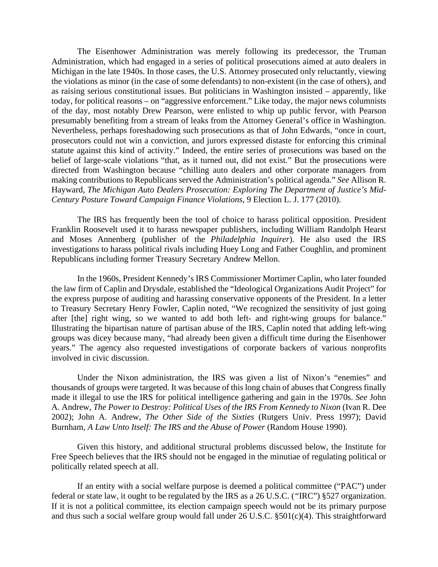The Eisenhower Administration was merely following its predecessor, the Truman Administration, which had engaged in a series of political prosecutions aimed at auto dealers in Michigan in the late 1940s. In those cases, the U.S. Attorney prosecuted only reluctantly, viewing the violations as minor (in the case of some defendants) to non-existent (in the case of others), and as raising serious constitutional issues. But politicians in Washington insisted – apparently, like today, for political reasons – on "aggressive enforcement." Like today, the major news columnists of the day, most notably Drew Pearson, were enlisted to whip up public fervor, with Pearson presumably benefiting from a stream of leaks from the Attorney General's office in Washington. Nevertheless, perhaps foreshadowing such prosecutions as that of John Edwards, "once in court, prosecutors could not win a conviction, and jurors expressed distaste for enforcing this criminal statute against this kind of activity." Indeed, the entire series of prosecutions was based on the belief of large-scale violations "that, as it turned out, did not exist." But the prosecutions were directed from Washington because "chilling auto dealers and other corporate managers from making contributions to Republicans served the Administration's political agenda." *See* Allison R. Hayward, *The Michigan Auto Dealers Prosecution: Exploring The Department of Justice's Mid-Century Posture Toward Campaign Finance Violations,* 9 Election L. J. 177 (2010).

The IRS has frequently been the tool of choice to harass political opposition. President Franklin Roosevelt used it to harass newspaper publishers, including William Randolph Hearst and Moses Annenberg (publisher of the *Philadelphia Inquirer*). He also used the IRS investigations to harass political rivals including Huey Long and Father Coughlin, and prominent Republicans including former Treasury Secretary Andrew Mellon.

In the 1960s, President Kennedy's IRS Commissioner Mortimer Caplin, who later founded the law firm of Caplin and Drysdale, established the "Ideological Organizations Audit Project" for the express purpose of auditing and harassing conservative opponents of the President. In a letter to Treasury Secretary Henry Fowler, Caplin noted, "We recognized the sensitivity of just going after [the] right wing, so we wanted to add both left- and right-wing groups for balance." Illustrating the bipartisan nature of partisan abuse of the IRS, Caplin noted that adding left-wing groups was dicey because many, "had already been given a difficult time during the Eisenhower years." The agency also requested investigations of corporate backers of various nonprofits involved in civic discussion.

Under the Nixon administration, the IRS was given a list of Nixon's "enemies" and thousands of groups were targeted. It was because of this long chain of abuses that Congress finally made it illegal to use the IRS for political intelligence gathering and gain in the 1970s. *See* John A. Andrew, *The Power to Destroy: Political Uses of the IRS From Kennedy to Nixon* (Ivan R. Dee 2002); John A. Andrew, *The Other Side of the Sixties* (Rutgers Univ. Press 1997); David Burnham, *A Law Unto Itself: The IRS and the Abuse of Power* (Random House 1990).

Given this history, and additional structural problems discussed below, the Institute for Free Speech believes that the IRS should not be engaged in the minutiae of regulating political or politically related speech at all.

If an entity with a social welfare purpose is deemed a political committee ("PAC") under federal or state law, it ought to be regulated by the IRS as a 26 U.S.C. (*"*IRC") §527 organization. If it is not a political committee, its election campaign speech would not be its primary purpose and thus such a social welfare group would fall under 26 U.S.C. §501(c)(4). This straightforward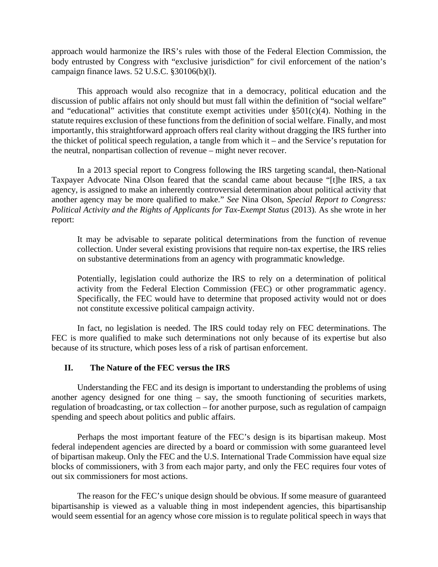approach would harmonize the IRS's rules with those of the Federal Election Commission, the body entrusted by Congress with "exclusive jurisdiction" for civil enforcement of the nation's campaign finance laws. 52 U.S.C. §30106(b)(l).

This approach would also recognize that in a democracy, political education and the discussion of public affairs not only should but must fall within the definition of "social welfare" and "educational" activities that constitute exempt activities under  $\S501(c)(4)$ . Nothing in the statute requires exclusion of these functions from the definition of social welfare. Finally, and most importantly, this straightforward approach offers real clarity without dragging the IRS further into the thicket of political speech regulation, a tangle from which it – and the Service's reputation for the neutral, nonpartisan collection of revenue – might never recover.

In a 2013 special report to Congress following the IRS targeting scandal, then-National Taxpayer Advocate Nina Olson feared that the scandal came about because "[t]he IRS, a tax agency, is assigned to make an inherently controversial determination about political activity that another agency may be more qualified to make." *See* Nina Olson, *Special Report to Congress: Political Activity and the Rights of Applicants for Tax-Exempt Status* (2013). As she wrote in her report:

It may be advisable to separate political determinations from the function of revenue collection. Under several existing provisions that require non-tax expertise, the IRS relies on substantive determinations from an agency with programmatic knowledge.

Potentially, legislation could authorize the IRS to rely on a determination of political activity from the Federal Election Commission (FEC) or other programmatic agency. Specifically, the FEC would have to determine that proposed activity would not or does not constitute excessive political campaign activity.

In fact, no legislation is needed. The IRS could today rely on FEC determinations. The FEC is more qualified to make such determinations not only because of its expertise but also because of its structure, which poses less of a risk of partisan enforcement.

## **II. The Nature of the FEC versus the IRS**

Understanding the FEC and its design is important to understanding the problems of using another agency designed for one thing – say, the smooth functioning of securities markets, regulation of broadcasting, or tax collection – for another purpose, such as regulation of campaign spending and speech about politics and public affairs.

Perhaps the most important feature of the FEC's design is its bipartisan makeup. Most federal independent agencies are directed by a board or commission with some guaranteed level of bipartisan makeup. Only the FEC and the U.S. International Trade Commission have equal size blocks of commissioners, with 3 from each major party, and only the FEC requires four votes of out six commissioners for most actions.

The reason for the FEC's unique design should be obvious. If some measure of guaranteed bipartisanship is viewed as a valuable thing in most independent agencies, this bipartisanship would seem essential for an agency whose core mission is to regulate political speech in ways that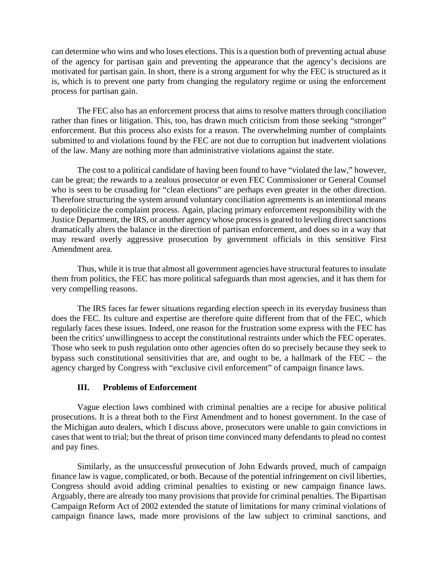can determine who wins and who loses elections. This is a question both of preventing actual abuse of the agency for partisan gain and preventing the appearance that the agency's decisions are motivated for partisan gain. In short, there is a strong argument for why the FEC is structured as it is, which is to prevent one party from changing the regulatory regime or using the enforcement process for partisan gain.

The FEC also has an enforcement process that aims to resolve matters through conciliation rather than fines or litigation. This, too, has drawn much criticism from those seeking "stronger" enforcement. But this process also exists for a reason. The overwhelming number of complaints submitted to and violations found by the FEC are not due to corruption but inadvertent violations of the law. Many are nothing more than administrative violations against the state.

The cost to a political candidate of having been found to have "violated the law," however, can be great; the rewards to a zealous prosecutor or even FEC Commissioner or General Counsel who is seen to be crusading for "clean elections" are perhaps even greater in the other direction. Therefore structuring the system around voluntary conciliation agreements is an intentional means to depoliticize the complaint process. Again, placing primary enforcement responsibility with the Justice Department, the IRS, or another agency whose process is geared to leveling direct sanctions dramatically alters the balance in the direction of partisan enforcement, and does so in a way that may reward overly aggressive prosecution by government officials in this sensitive First Amendment area.

Thus, while it is true that almost all government agencies have structural features to insulate them from politics, the FEC has more political safeguards than most agencies, and it has them for very compelling reasons.

The IRS faces far fewer situations regarding election speech in its everyday business than does the FEC. Its culture and expertise are therefore quite different from that of the FEC, which regularly faces these issues. Indeed, one reason for the frustration some express with the FEC has been the critics' unwillingness to accept the constitutional restraints under which the FEC operates. Those who seek to push regulation onto other agencies often do so precisely because they seek to bypass such constitutional sensitivities that are, and ought to be, a hallmark of the FEC – the agency charged by Congress with "exclusive civil enforcement" of campaign finance laws.

## **III. Problems of Enforcement**

Vague election laws combined with criminal penalties are a recipe for abusive political prosecutions. It is a threat both to the First Amendment and to honest government. In the case of the Michigan auto dealers, which I discuss above, prosecutors were unable to gain convictions in cases that went to trial; but the threat of prison time convinced many defendants to plead no contest and pay fines.

Similarly, as the unsuccessful prosecution of John Edwards proved, much of campaign finance law is vague, complicated, or both. Because of the potential infringement on civil liberties, Congress should avoid adding criminal penalties to existing or new campaign finance laws. Arguably, there are already too many provisions that provide for criminal penalties. The Bipartisan Campaign Reform Act of 2002 extended the statute of limitations for many criminal violations of campaign finance laws, made more provisions of the law subject to criminal sanctions, and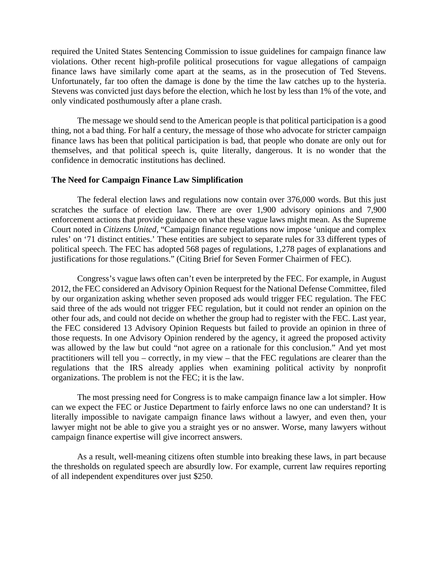required the United States Sentencing Commission to issue guidelines for campaign finance law violations. Other recent high-profile political prosecutions for vague allegations of campaign finance laws have similarly come apart at the seams, as in the prosecution of Ted Stevens. Unfortunately, far too often the damage is done by the time the law catches up to the hysteria. Stevens was convicted just days before the election, which he lost by less than 1% of the vote, and only vindicated posthumously after a plane crash.

The message we should send to the American people is that political participation is a good thing, not a bad thing. For half a century, the message of those who advocate for stricter campaign finance laws has been that political participation is bad, that people who donate are only out for themselves, and that political speech is, quite literally, dangerous. It is no wonder that the confidence in democratic institutions has declined.

#### **The Need for Campaign Finance Law Simplification**

The federal election laws and regulations now contain over 376,000 words. But this just scratches the surface of election law. There are over 1,900 advisory opinions and 7,900 enforcement actions that provide guidance on what these vague laws might mean. As the Supreme Court noted in *Citizens United*, "Campaign finance regulations now impose 'unique and complex rules' on '71 distinct entities.' These entities are subject to separate rules for 33 different types of political speech. The FEC has adopted 568 pages of regulations, 1,278 pages of explanations and justifications for those regulations." (Citing Brief for Seven Former Chairmen of FEC).

Congress's vague laws often can't even be interpreted by the FEC. For example, in August 2012, the FEC considered an Advisory Opinion Request for the National Defense Committee, filed by our organization asking whether seven proposed ads would trigger FEC regulation. The FEC said three of the ads would not trigger FEC regulation, but it could not render an opinion on the other four ads, and could not decide on whether the group had to register with the FEC. Last year, the FEC considered 13 Advisory Opinion Requests but failed to provide an opinion in three of those requests. In one Advisory Opinion rendered by the agency, it agreed the proposed activity was allowed by the law but could "not agree on a rationale for this conclusion." And yet most practitioners will tell you – correctly, in my view – that the FEC regulations are clearer than the regulations that the IRS already applies when examining political activity by nonprofit organizations. The problem is not the FEC; it is the law.

The most pressing need for Congress is to make campaign finance law a lot simpler. How can we expect the FEC or Justice Department to fairly enforce laws no one can understand? It is literally impossible to navigate campaign finance laws without a lawyer, and even then, your lawyer might not be able to give you a straight yes or no answer. Worse, many lawyers without campaign finance expertise will give incorrect answers.

As a result, well-meaning citizens often stumble into breaking these laws, in part because the thresholds on regulated speech are absurdly low. For example, current law requires reporting of all independent expenditures over just \$250.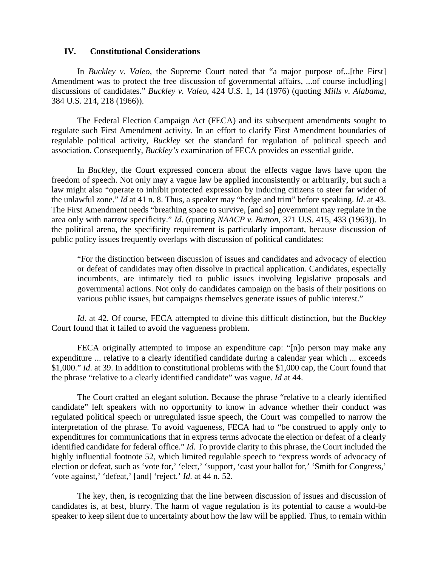#### **IV. Constitutional Considerations**

In *Buckley v. Valeo*, the Supreme Court noted that "a major purpose of...[the First] Amendment was to protect the free discussion of governmental affairs, ... of course includ[ing] discussions of candidates." *Buckley v. Valeo*, 424 U.S. 1, 14 (1976) (quoting *Mills v. Alabama*, 384 U.S. 214, 218 (1966)).

The Federal Election Campaign Act (FECA) and its subsequent amendments sought to regulate such First Amendment activity. In an effort to clarify First Amendment boundaries of regulable political activity, *Buckley* set the standard for regulation of political speech and association. Consequently, *Buckley's* examination of FECA provides an essential guide.

In *Buckley*, the Court expressed concern about the effects vague laws have upon the freedom of speech. Not only may a vague law be applied inconsistently or arbitrarily, but such a law might also "operate to inhibit protected expression by inducing citizens to steer far wider of the unlawful zone." *Id* at 41 n. 8. Thus, a speaker may "hedge and trim" before speaking. *Id*. at 43. The First Amendment needs "breathing space to survive, [and so] government may regulate in the area only with narrow specificity." *Id*. (quoting *NAACP v. Button*, 371 U.S. 415, 433 (1963)). In the political arena, the specificity requirement is particularly important, because discussion of public policy issues frequently overlaps with discussion of political candidates:

"For the distinction between discussion of issues and candidates and advocacy of election or defeat of candidates may often dissolve in practical application. Candidates, especially incumbents, are intimately tied to public issues involving legislative proposals and governmental actions. Not only do candidates campaign on the basis of their positions on various public issues, but campaigns themselves generate issues of public interest."

*Id*. at 42. Of course, FECA attempted to divine this difficult distinction, but the *Buckley* Court found that it failed to avoid the vagueness problem.

FECA originally attempted to impose an expenditure cap: "[n]o person may make any expenditure ... relative to a clearly identified candidate during a calendar year which ... exceeds \$1,000." *Id*. at 39. In addition to constitutional problems with the \$1,000 cap, the Court found that the phrase "relative to a clearly identified candidate" was vague. *Id* at 44.

The Court crafted an elegant solution. Because the phrase "relative to a clearly identified candidate" left speakers with no opportunity to know in advance whether their conduct was regulated political speech or unregulated issue speech, the Court was compelled to narrow the interpretation of the phrase. To avoid vagueness, FECA had to "be construed to apply only to expenditures for communications that in express terms advocate the election or defeat of a clearly identified candidate for federal office." *Id*. To provide clarity to this phrase, the Court included the highly influential footnote 52, which limited regulable speech to "express words of advocacy of election or defeat, such as 'vote for,' 'elect,' 'support, 'cast your ballot for,' 'Smith for Congress,' 'vote against,' 'defeat,' [and] 'reject.' *Id*. at 44 n. 52.

The key, then, is recognizing that the line between discussion of issues and discussion of candidates is, at best, blurry. The harm of vague regulation is its potential to cause a would-be speaker to keep silent due to uncertainty about how the law will be applied. Thus, to remain within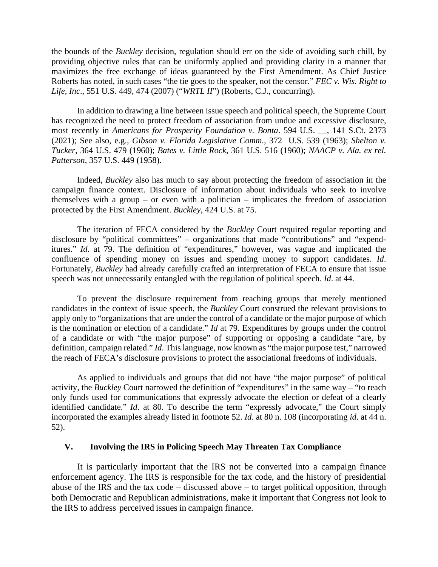the bounds of the *Buckley* decision, regulation should err on the side of avoiding such chill, by providing objective rules that can be uniformly applied and providing clarity in a manner that maximizes the free exchange of ideas guaranteed by the First Amendment. As Chief Justice Roberts has noted, in such cases "the tie goes to the speaker, not the censor." *FEC v. Wis. Right to Life, Inc*., 551 U.S. 449, 474 (2007) ("*WRTL II*") (Roberts, C.J., concurring).

In addition to drawing a line between issue speech and political speech, the Supreme Court has recognized the need to protect freedom of association from undue and excessive disclosure, most recently in *Americans for Prosperity Foundation v. Bonta*. 594 U.S. \_\_, 141 S.Ct. 2373 (2021); See also, e.g., *Gibson v. Florida Legislative Comm*., 372 U.S. 539 (1963); *Shelton v. Tucker*, 364 U.S. 479 (1960); *Bates v. Little Rock*, 361 U.S. 516 (1960); *NAACP v. Ala. ex rel. Patterson*, 357 U.S. 449 (1958).

Indeed, *Buckley* also has much to say about protecting the freedom of association in the campaign finance context. Disclosure of information about individuals who seek to involve themselves with a group – or even with a politician – implicates the freedom of association protected by the First Amendment. *Buckley*, 424 U.S. at 75.

The iteration of FECA considered by the *Buckley* Court required regular reporting and disclosure by "political committees" – organizations that made "contributions" and "expenditures." *Id*. at 79. The definition of "expenditures," however, was vague and implicated the confluence of spending money on issues and spending money to support candidates. *Id*. Fortunately, *Buckley* had already carefully crafted an interpretation of FECA to ensure that issue speech was not unnecessarily entangled with the regulation of political speech. *Id*. at 44.

To prevent the disclosure requirement from reaching groups that merely mentioned candidates in the context of issue speech, the *Buckley* Court construed the relevant provisions to apply only to "organizations that are under the control of a candidate or the major purpose of which is the nomination or election of a candidate." *Id* at 79. Expenditures by groups under the control of a candidate or with "the major purpose" of supporting or opposing a candidate "are, by definition, campaign related." *Id*. This language, now known as "the major purpose test," narrowed the reach of FECA's disclosure provisions to protect the associational freedoms of individuals.

As applied to individuals and groups that did not have "the major purpose" of political activity, the *Buckley* Court narrowed the definition of "expenditures" in the same way – "to reach only funds used for communications that expressly advocate the election or defeat of a clearly identified candidate." *Id*. at 80. To describe the term "expressly advocate," the Court simply incorporated the examples already listed in footnote 52. *Id*. at 80 n. 108 (incorporating *id*. at 44 n. 52).

## **V. Involving the IRS in Policing Speech May Threaten Tax Compliance**

It is particularly important that the IRS not be converted into a campaign finance enforcement agency. The IRS is responsible for the tax code, and the history of presidential abuse of the IRS and the tax code – discussed above – to target political opposition, through both Democratic and Republican administrations, make it important that Congress not look to the IRS to address perceived issues in campaign finance.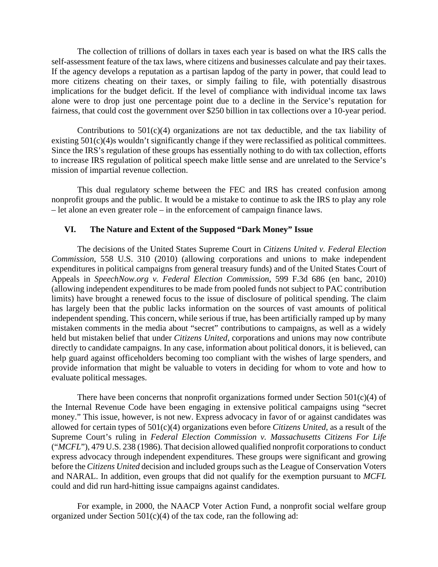The collection of trillions of dollars in taxes each year is based on what the IRS calls the self-assessment feature of the tax laws, where citizens and businesses calculate and pay their taxes. If the agency develops a reputation as a partisan lapdog of the party in power, that could lead to more citizens cheating on their taxes, or simply failing to file, with potentially disastrous implications for the budget deficit. If the level of compliance with individual income tax laws alone were to drop just one percentage point due to a decline in the Service's reputation for fairness, that could cost the government over \$250 billion in tax collections over a 10-year period.

Contributions to  $501(c)(4)$  organizations are not tax deductible, and the tax liability of existing  $501(c)(4)$ s wouldn't significantly change if they were reclassified as political committees. Since the IRS's regulation of these groups has essentially nothing to do with tax collection, efforts to increase IRS regulation of political speech make little sense and are unrelated to the Service's mission of impartial revenue collection.

This dual regulatory scheme between the FEC and IRS has created confusion among nonprofit groups and the public. It would be a mistake to continue to ask the IRS to play any role – let alone an even greater role – in the enforcement of campaign finance laws.

## **VI. The Nature and Extent of the Supposed "Dark Money" Issue**

The decisions of the United States Supreme Court in *Citizens United v. Federal Election Commission*, 558 U.S. 310 (2010) (allowing corporations and unions to make independent expenditures in political campaigns from general treasury funds) and of the United States Court of Appeals in *SpeechNow.org v. Federal Election Commission*, 599 F.3d 686 (en banc, 2010) (allowing independent expenditures to be made from pooled funds not subject to PAC contribution limits) have brought a renewed focus to the issue of disclosure of political spending. The claim has largely been that the public lacks information on the sources of vast amounts of political independent spending. This concern, while serious if true, has been artificially ramped up by many mistaken comments in the media about "secret" contributions to campaigns, as well as a widely held but mistaken belief that under *Citizens United*, corporations and unions may now contribute directly to candidate campaigns. In any case, information about political donors, it is believed, can help guard against officeholders becoming too compliant with the wishes of large spenders, and provide information that might be valuable to voters in deciding for whom to vote and how to evaluate political messages.

There have been concerns that nonprofit organizations formed under Section  $501(c)(4)$  of the Internal Revenue Code have been engaging in extensive political campaigns using "secret money." This issue, however, is not new. Express advocacy in favor of or against candidates was allowed for certain types of 501(c)(4) organizations even before *Citizens United*, as a result of the Supreme Court's ruling in *Federal Election Commission v. Massachusetts Citizens For Life*  ("*MCFL*"), 479 U.S. 238 (1986). That decision allowed qualified nonprofit corporations to conduct express advocacy through independent expenditures. These groups were significant and growing before the *Citizens United* decision and included groups such as the League of Conservation Voters and NARAL. In addition, even groups that did not qualify for the exemption pursuant to *MCFL*  could and did run hard-hitting issue campaigns against candidates.

For example, in 2000, the NAACP Voter Action Fund, a nonprofit social welfare group organized under Section  $501(c)(4)$  of the tax code, ran the following ad: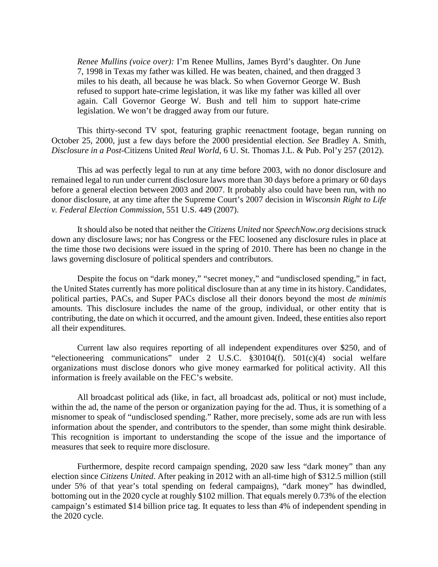*Renee Mullins (voice over):* I'm Renee Mullins, James Byrd's daughter. On June 7, 1998 in Texas my father was killed. He was beaten, chained, and then dragged 3 miles to his death, all because he was black. So when Governor George W. Bush refused to support hate-crime legislation, it was like my father was killed all over again. Call Governor George W. Bush and tell him to support hate-crime legislation. We won't be dragged away from our future.

This thirty-second TV spot, featuring graphic reenactment footage, began running on October 25, 2000, just a few days before the 2000 presidential election. *See* Bradley A. Smith, *Disclosure in a Post-*Citizens United *Real World*, 6 U. St. Thomas J.L. & Pub. Pol'y 257 (2012).

This ad was perfectly legal to run at any time before 2003, with no donor disclosure and remained legal to run under current disclosure laws more than 30 days before a primary or 60 days before a general election between 2003 and 2007. It probably also could have been run, with no donor disclosure, at any time after the Supreme Court's 2007 decision in *Wisconsin Right to Life v. Federal Election Commission*, 551 U.S. 449 (2007).

It should also be noted that neither the *Citizens United* nor *SpeechNow.org* decisions struck down any disclosure laws; nor has Congress or the FEC loosened any disclosure rules in place at the time those two decisions were issued in the spring of 2010. There has been no change in the laws governing disclosure of political spenders and contributors.

Despite the focus on "dark money," "secret money," and "undisclosed spending," in fact, the United States currently has more political disclosure than at any time in its history. Candidates, political parties, PACs, and Super PACs disclose all their donors beyond the most *de minimis* amounts. This disclosure includes the name of the group, individual, or other entity that is contributing, the date on which it occurred, and the amount given. Indeed, these entities also report all their expenditures.

Current law also requires reporting of all independent expenditures over \$250, and of "electioneering communications" under 2 U.S.C. §30104(f). 501(c)(4) social welfare organizations must disclose donors who give money earmarked for political activity. All this information is freely available on the FEC's website.

All broadcast political ads (like, in fact, all broadcast ads, political or not) must include, within the ad, the name of the person or organization paying for the ad. Thus, it is something of a misnomer to speak of "undisclosed spending." Rather, more precisely, some ads are run with less information about the spender, and contributors to the spender, than some might think desirable. This recognition is important to understanding the scope of the issue and the importance of measures that seek to require more disclosure.

Furthermore, despite record campaign spending, 2020 saw less "dark money" than any election since *Citizens United*. After peaking in 2012 with an all-time high of \$312.5 million (still under 5% of that year's total spending on federal campaigns), "dark money" has dwindled, bottoming out in the 2020 cycle at roughly \$102 million. That equals merely 0.73% of the election campaign's estimated \$14 billion price tag. It equates to less than 4% of independent spending in the 2020 cycle.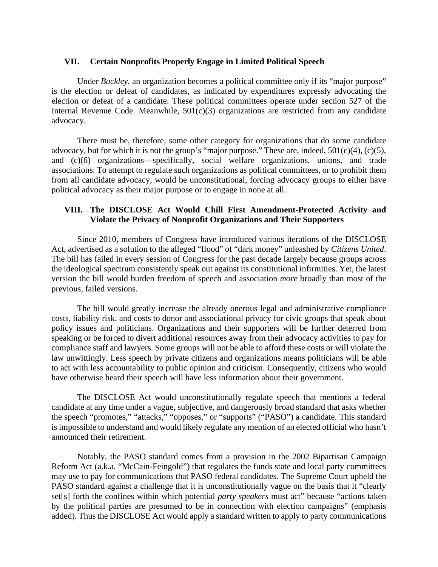#### **VII. Certain Nonprofits Properly Engage in Limited Political Speech**

Under *Buckley,* an organization becomes a political committee only if its "major purpose" is the election or defeat of candidates, as indicated by expenditures expressly advocating the election or defeat of a candidate. These political committees operate under section 527 of the Internal Revenue Code. Meanwhile,  $501(c)(3)$  organizations are restricted from any candidate advocacy.

There must be, therefore, some other category for organizations that do some candidate advocacy, but for which it is not the group's "major purpose." These are, indeed,  $501(c)(4)$ ,  $(c)(5)$ , and (c)(6) organizations—specifically, social welfare organizations, unions, and trade associations. To attempt to regulate such organizations as political committees, or to prohibit them from all candidate advocacy, would be unconstitutional, forcing advocacy groups to either have political advocacy as their major purpose or to engage in none at all.

## **VIII. The DISCLOSE Act Would Chill First Amendment-Protected Activity and Violate the Privacy of Nonprofit Organizations and Their Supporters**

Since 2010, members of Congress have introduced various iterations of the DISCLOSE Act, advertised as a solution to the alleged "flood" of "dark money" unleashed by *Citizens United*. The bill has failed in every session of Congress for the past decade largely because groups across the ideological spectrum consistently speak out against its constitutional infirmities. Yet, the latest version the bill would burden freedom of speech and association *more* broadly than most of the previous, failed versions.

The bill would greatly increase the already onerous legal and administrative compliance costs, liability risk, and costs to donor and associational privacy for civic groups that speak about policy issues and politicians. Organizations and their supporters will be further deterred from speaking or be forced to divert additional resources away from their advocacy activities to pay for compliance staff and lawyers. Some groups will not be able to afford these costs or will violate the law unwittingly. Less speech by private citizens and organizations means politicians will be able to act with less accountability to public opinion and criticism. Consequently, citizens who would have otherwise heard their speech will have less information about their government.

The DISCLOSE Act would unconstitutionally regulate speech that mentions a federal candidate at any time under a vague, subjective, and dangerously broad standard that asks whether the speech "promotes," "attacks," "opposes," or "supports" ("PASO") a candidate. This standard is impossible to understand and would likely regulate any mention of an elected official who hasn't announced their retirement.

Notably, the PASO standard comes from a provision in the 2002 Bipartisan Campaign Reform Act (a.k.a. "McCain-Feingold") that regulates the funds state and local party committees may use to pay for communications that PASO federal candidates. The Supreme Court upheld the PASO standard against a challenge that it is unconstitutionally vague on the basis that it "clearly set[s] forth the confines within which potential *party speakers* must act" because "actions taken by the political parties are presumed to be in connection with election campaigns" (emphasis added). Thus the DISCLOSE Act would apply a standard written to apply to party communications